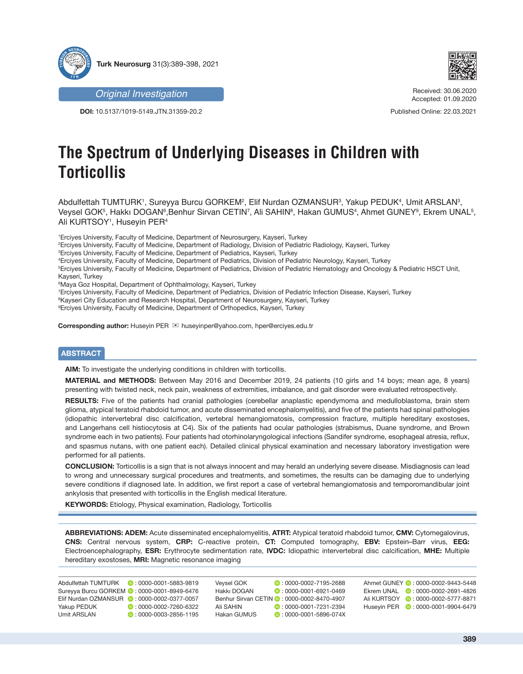



**DOI:** 10.5137/1019-5149.JTN.31359-20.2



Received: 30.06.2020 Accepted: 01.09.2020

Published Online: 22.03.2021

# **The Spectrum of Underlying Diseases in Children with Torticollis**

Abdulfettah TUMTURK', Sureyya Burcu GORKEM², Elif Nurdan OZMANSURª, Yakup PEDUK4, Umit ARSLANª, Veysel GOK§, Hakkı DOGAN§,Benhur Sirvan CETIN?, Ali SAHIN§, Hakan GUMUS4, Ahmet GUNEY9, Ekrem UNAL§, Ali KURTSOY<sup>1</sup>, Huseyin PER<sup>4</sup>

1 Erciyes University, Faculty of Medicine, Department of Neurosurgery, Kayseri, Turkey

2 Erciyes University, Faculty of Medicine, Department of Radiology, Division of Pediatric Radiology, Kayseri, Turkey

3 Erciyes University, Faculty of Medicine, Department of Pediatrics, Kayseri, Turkey

4 Erciyes University, Faculty of Medicine, Department of Pediatrics, Division of Pediatric Neurology, Kayseri, Turkey

5 Erciyes University, Faculty of Medicine, Department of Pediatrics, Division of Pediatric Hematology and Oncology & Pediatric HSCT Unit, Kayseri, Turkey

6 Maya Goz Hospital, Department of Ophthalmology, Kayseri, Turkey

7 Erciyes University, Faculty of Medicine, Department of Pediatrics, Division of Pediatric Infection Disease, Kayseri, Turkey

 $^8$ Kayseri City Education and Research Hospital, Department of Neurosurgery, Kayseri, Turkey

9 Erciyes University, Faculty of Medicine, Department of Orthopedics, Kayseri, Turkey

Corresponding author: Huseyin PER <br>
<sub>E</sub> huseyinper@yahoo.com, hper@erciyes.edu.tr

## **ABSTRACT**

**AIM:** To investigate the underlying conditions in children with torticollis.

**MATERIAL and METHODS:** Between May 2016 and December 2019, 24 patients (10 girls and 14 boys; mean age, 8 years) presenting with twisted neck, neck pain, weakness of extremities, imbalance, and gait disorder were evaluated retrospectively.

**RESULTS:** Five of the patients had cranial pathologies (cerebellar anaplastic ependymoma and medulloblastoma, brain stem glioma, atypical teratoid rhabdoid tumor, and acute disseminated encephalomyelitis), and five of the patients had spinal pathologies (idiopathic intervertebral disc calcification, vertebral hemangiomatosis, compression fracture, multiple hereditary exostoses, and Langerhans cell histiocytosis at C4). Six of the patients had ocular pathologies (strabismus, Duane syndrome, and Brown syndrome each in two patients). Four patients had otorhinolaryngological infections (Sandifer syndrome, esophageal atresia, reflux, and spasmus nutans, with one patient each). Detailed clinical physical examination and necessary laboratory investigation were performed for all patients.

**CONCLUSION:** Torticollis is a sign that is not always innocent and may herald an underlying severe disease. Misdiagnosis can lead to wrong and unnecessary surgical procedures and treatments, and sometimes, the results can be damaging due to underlying severe conditions if diagnosed late. In addition, we first report a case of vertebral hemangiomatosis and temporomandibular joint ankylosis that presented with torticollis in the English medical literature.

**KEYWORDS:** Etiology, Physical examination, Radiology, Torticollis

**ABBREVIATIONS: ADEM:** Acute disseminated encephalomyelitis, **ATRT:** Atypical teratoid rhabdoid tumor, **CMV:** Cytomegalovirus, **CNS:** Central nervous system, **CRP:** C-reactive protein, **CT:** Computed tomography, **EBV:** Epstein–Barr virus, **EEG:** Electroencephalography, **ESR:** Erythrocyte sedimentation rate, **IVDC:** Idiopathic intervertebral disc calcification, **MHE:** Multiple hereditary exostoses, **MRI:** Magnetic resonance imaging

|             | Abdulfettah TUMTURK (D: 0000-0001-5883-9819  | <b>Vevsel GOK</b> | $\bullet$ : 0000-0002-7195-2688             | Ahmet GUNEY 2: 0000-0002-9443-5448         |
|-------------|----------------------------------------------|-------------------|---------------------------------------------|--------------------------------------------|
|             | Sureyya Burcu GORKEM (D: 0000-0001-8949-6476 | Hakkı DOGAN       | $\bullet$ : 0000-0001-6921-0469             | Ekrem UNAL <b>C</b> : 0000-0002-2691-4826  |
|             | Elif Nurdan OZMANSUR (2:0000-0002-0377-0057) |                   | Benhur Sirvan CETIN (2: 0000-0002-8470-4907 | Ali KURTSOY 2:0000-0002-5777-8871          |
| Yakup PEDUK | $\bullet$ : 0000-0002-7260-6322              | Ali SAHIN         | $\bullet$ : 0000-0001-7231-2394             | Husevin PER <b>C</b> : 0000-0001-9904-6479 |
| Umit ARSLAN | $\bullet$ : 0000-0003-2856-1195              | Hakan GUMUS       | $\bullet$ : 0000-0001-5896-074X             |                                            |
|             |                                              |                   |                                             |                                            |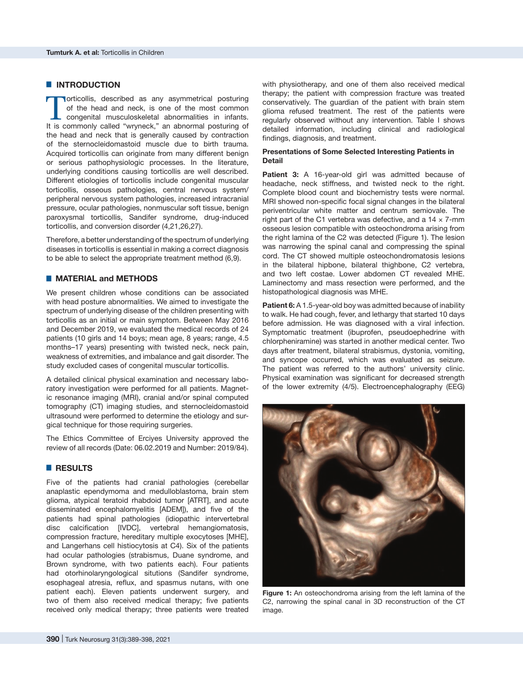## $\blacksquare$  **INTRODUCTION**

Torticollis, described as any asymmetrical posturing<br>of the head and neck, is one of the most common<br>congenital musculoskeletal abnormalities in infants.<br>It is commonly called "wnmeck" an abnormal posturing of of the head and neck, is one of the most common congenital musculoskeletal abnormalities in infants. It is commonly called "wryneck," an abnormal posturing of the head and neck that is generally caused by contraction of the sternocleidomastoid muscle due to birth trauma. Acquired torticollis can originate from many different benign or serious pathophysiologic processes. In the literature, underlying conditions causing torticollis are well described. Different etiologies of torticollis include congenital muscular torticollis, osseous pathologies, central nervous system/ peripheral nervous system pathologies, increased intracranial pressure, ocular pathologies, nonmuscular soft tissue, benign paroxysmal torticollis, Sandifer syndrome, drug-induced torticollis, and conversion disorder (4,21,26,27).

Therefore, a better understanding of the spectrum of underlying diseases in torticollis is essential in making a correct diagnosis to be able to select the appropriate treatment method (6,9).

## █ **MATERIAL and METHODS**

We present children whose conditions can be associated with head posture abnormalities. We aimed to investigate the spectrum of underlying disease of the children presenting with torticollis as an initial or main symptom. Between May 2016 and December 2019, we evaluated the medical records of 24 patients (10 girls and 14 boys; mean age, 8 years; range, 4.5 months–17 years) presenting with twisted neck, neck pain, weakness of extremities, and imbalance and gait disorder. The study excluded cases of congenital muscular torticollis.

A detailed clinical physical examination and necessary laboratory investigation were performed for all patients. Magnetic resonance imaging (MRI), cranial and/or spinal computed tomography (CT) imaging studies, and sternocleidomastoid ultrasound were performed to determine the etiology and surgical technique for those requiring surgeries.

The Ethics Committee of Erciyes University approved the review of all records (Date: 06.02.2019 and Number: 2019/84).

## █ **RESULTS**

Five of the patients had cranial pathologies (cerebellar anaplastic ependymoma and medulloblastoma, brain stem glioma, atypical teratoid rhabdoid tumor [ATRT], and acute disseminated encephalomyelitis [ADEM]), and five of the patients had spinal pathologies (idiopathic intervertebral disc calcification [IVDC], vertebral hemangiomatosis, compression fracture, hereditary multiple exocytoses [MHE], and Langerhans cell histiocytosis at C4). Six of the patients had ocular pathologies (strabismus, Duane syndrome, and Brown syndrome, with two patients each). Four patients had otorhinolaryngological situtions (Sandifer syndrome, esophageal atresia, reflux, and spasmus nutans, with one patient each). Eleven patients underwent surgery, and two of them also received medical therapy; five patients received only medical therapy; three patients were treated

with physiotherapy, and one of them also received medical therapy; the patient with compression fracture was treated conservatively. The guardian of the patient with brain stem glioma refused treatment. The rest of the patients were regularly observed without any intervention. Table I shows detailed information, including clinical and radiological findings, diagnosis, and treatment.

#### **Presentations of Some Selected Interesting Patients in Detail**

Patient 3: A 16-year-old girl was admitted because of headache, neck stiffness, and twisted neck to the right. Complete blood count and biochemistry tests were normal. MRI showed non-specific focal signal changes in the bilateral periventricular white matter and centrum semiovale. The right part of the C1 vertebra was defective, and a  $14 \times 7$ -mm osseous lesion compatible with osteochondroma arising from the right lamina of the C2 was detected (Figure 1). The lesion was narrowing the spinal canal and compressing the spinal cord. The CT showed multiple osteochondromatosis lesions in the bilateral hipbone, bilateral thighbone, C2 vertebra, and two left costae. Lower abdomen CT revealed MHE. Laminectomy and mass resection were performed, and the histopathological diagnosis was MHE.

**Patient 6:** A 1.5-year-old boy was admitted because of inability to walk. He had cough, fever, and lethargy that started 10 days before admission. He was diagnosed with a viral infection. Symptomatic treatment (ibuprofen, pseudoephedrine with chlorpheniramine) was started in another medical center. Two days after treatment, bilateral strabismus, dystonia, vomiting, and syncope occurred, which was evaluated as seizure. The patient was referred to the authors' university clinic. Physical examination was significant for decreased strength of the lower extremity (4/5). Electroencephalography (EEG)



**Figure 1:** An osteochondroma arising from the left lamina of the C2, narrowing the spinal canal in 3D reconstruction of the CT image.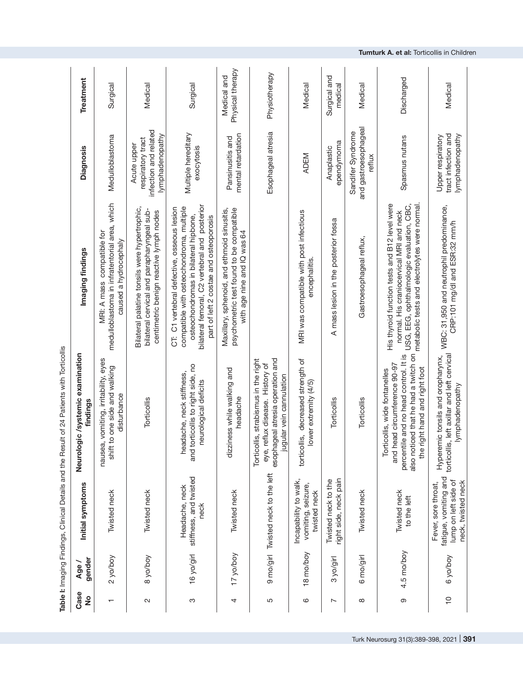|                          |                 |                                                                                            | Table I: Imaging Findings, Clinical Details and the Result of 24 Patients with Torticollis                                                                                             |                                                                                                                                                                                                                            |                                                                              |                                 |
|--------------------------|-----------------|--------------------------------------------------------------------------------------------|----------------------------------------------------------------------------------------------------------------------------------------------------------------------------------------|----------------------------------------------------------------------------------------------------------------------------------------------------------------------------------------------------------------------------|------------------------------------------------------------------------------|---------------------------------|
| Case<br>$\frac{1}{2}$    | gender<br>Age / | Initial symptoms                                                                           | systemic examination<br>findings<br>Neurologic/                                                                                                                                        | Imaging findings                                                                                                                                                                                                           | <b>Diagnosis</b>                                                             | Treatment                       |
| $\overline{\phantom{0}}$ | 2 yo/boy        | Twisted neck                                                                               | nausea, vomiting, irritability, eyes<br>shift to one side and walking<br>disturbance                                                                                                   | medulloblastoma in infratentorial area, which<br>MRI: A mass compatible for<br>caused a hydrocephaly                                                                                                                       | Medulloblastoma                                                              | Surgical                        |
| $\mathbf{\Omega}$        | 8 yo/boy        | Twisted neck                                                                               | Torticollis                                                                                                                                                                            | Bilateral palatine tonsils were hypertrophic,<br>bilateral cervical and parapharyngeal sub-<br>centimetric benign reactive lymph nodes                                                                                     | infection and related<br>lymphadenopathy<br>respiratory tract<br>Acute upper | Medical                         |
| ო                        | 16 yo/girl      | stiffness, and twisted<br>Headache, neck<br>neck                                           | and torticollis to right side, no<br>headache, neck stiffness,<br>neurological deficits                                                                                                | bilateral femoral, C2 vertebral and posterior<br>compatible with osteochondroma, multiple<br>CT: C1 vertebral defective, osseous lesion<br>osteochondromas in bilateral hipbone,<br>part of left 2 costae and osteoporosis | Multiple hereditary<br>exocytosis                                            | Surgical                        |
| 4                        | 17 yo/boy       | Twisted neck                                                                               | dizziness while walking and<br>headache                                                                                                                                                | Maxillary, sphenoid, and ethmoid sinusitis,<br>psychometric test found to be compatible<br>with age nine and IQ was 64                                                                                                     | mental retardation<br>Pansinusitis and                                       | Physical therapy<br>Medical and |
| 5                        |                 | 9 mo/girl Twisted neck to the left                                                         | atresia operation and<br>strabismus in the right<br>eye, reflux disease. History of<br>vein cannulation<br>esophageal<br>jugular<br>Torticollis,                                       |                                                                                                                                                                                                                            | Esophageal atresia                                                           | Physiotherapy                   |
| ဖ                        | 18 mo/boy       | Incapability to walk,<br>vomiting, seizure,<br>twisted neck                                | decreased strength of<br>lower extremity (4/5)<br>torticollis,                                                                                                                         | MRI was compatible with post infectious<br>encephalitis.                                                                                                                                                                   | <b>ADEM</b>                                                                  | Medical                         |
| $\overline{\phantom{0}}$ | 3 yo/girl       | right side, neck pain<br>Twisted neck to the                                               | Torticollis                                                                                                                                                                            | A mass lesion in the posterior fossa                                                                                                                                                                                       | ependymoma<br>Anaplastic                                                     | Surgical and<br>medical         |
| $\infty$                 | 6 mo/girl       | Twisted neck                                                                               | Torticollis                                                                                                                                                                            | Gastroesophageal reflux,                                                                                                                                                                                                   | and gastroesophageal<br>Sandifer Syndrome<br>reflux                          | Medical                         |
| တ                        | 4.5 mo/boy      | Twisted neck<br>to the left                                                                | percentile and no head control. It is<br>also noticed that he had a twitch on<br>and head circumference 90-97<br>hand and right foot<br>s, wide fontanelles<br>Torticolli<br>the right | metabolic tests and electrolytes were normal.<br>His thyroid function tests and B12 level were<br>USG, EEG, ophthalmologic evaluation, CBC,<br>normal. His craniocervical MRI and neck                                     | Spasmus nutans                                                               | Discharged                      |
| $\frac{1}{2}$            | 6 yo/boy        | fatigue, vomiting and<br>lump on left side of<br>neck, twisted neck<br>Fever, sore throat, | torticollis, left axillar and left cervical<br>Hyperemic tonsils and oropharynx,<br>lymphadenopathy                                                                                    | WBC: 31,950 and neutrophil predominance,<br>CRP:101 mg/dl and ESR:32 mm/h                                                                                                                                                  | tract infection and<br>lymphadenopathy<br>Upper respiratory                  | Medical                         |

| $\lambda$ is a Findering Findering and the Result of 24 Patients with Torout of $\lambda$ Patients with Torout and $\lambda$ |
|------------------------------------------------------------------------------------------------------------------------------|

**Tumturk A. et al:** Torticollis in Children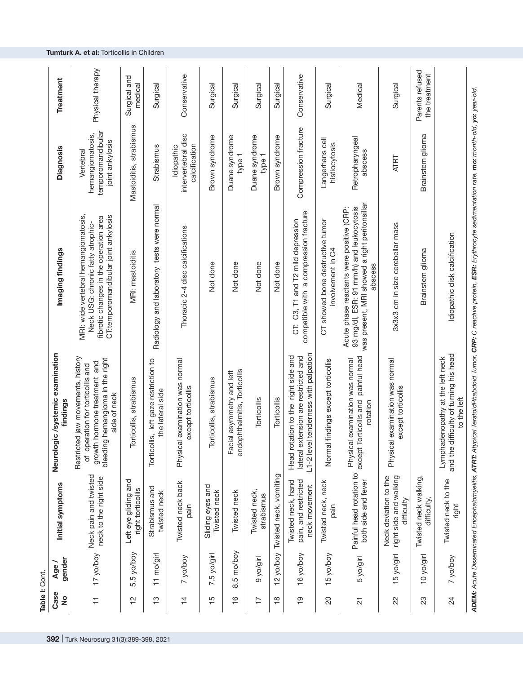| Table I: Cont.        |               |                                                               |                                                                                                                                                              |                                                                                                                                                                               |                                                                       |                                  |
|-----------------------|---------------|---------------------------------------------------------------|--------------------------------------------------------------------------------------------------------------------------------------------------------------|-------------------------------------------------------------------------------------------------------------------------------------------------------------------------------|-----------------------------------------------------------------------|----------------------------------|
| Case<br>$\frac{1}{2}$ | gender<br>Age | Initial symptoms                                              | /systemic examination<br>findings<br>Neurologic                                                                                                              | Imaging findings                                                                                                                                                              | <b>Diagnosis</b>                                                      | Treatment                        |
| Ξ                     | 17 yo/boy     | Neck pain and twisted<br>neck to the right side               | jaw movements, history<br>bleeding hemangioma in the right<br>growth hormone treatment and<br>of operation for torticollis and<br>side of neck<br>Restricted | MRI: wide vertebral hemangiomatosis,<br>CT:temporomandibular joint ankylosis<br>fibrotic changes in the operation area<br>Neck USG: chronic fatty atrophic-                   | temporomandibular<br>hemangiomatosis,<br>joint ankylosis<br>Vertebral | Physical therapy                 |
| $\frac{1}{2}$         | 5.5 yo/boy    | Left eye gliding and<br>right torticollis                     | Torticollis, strabismus                                                                                                                                      | MRI: mastoiditis                                                                                                                                                              | Mastoiditis, strabismus                                               | Surgical and<br>medical          |
| က္                    | 11 mo/girl    | Strabismus and<br>twisted neck                                | left gaze restriction to<br>the lateral side<br>Torticollis,                                                                                                 | Radiology and laboratory tests were normal                                                                                                                                    | Strabismus                                                            | Surgical                         |
| $\overline{4}$        | 7 yo/boy      | Twisted neck back<br>pain                                     | Physical examination was normal<br>except torticollis                                                                                                        | Thoracic 2-4 disc calcifications                                                                                                                                              | intervertebral disc<br>calcification<br>Idiopathic                    | Conservative                     |
| $\frac{15}{2}$        | 7.5 yo/girl   | Sliding eyes and<br>Twisted neck                              | icollis, strabismus<br>Torti                                                                                                                                 | Not done                                                                                                                                                                      | Brown syndrome                                                        | Surgical                         |
| $\frac{6}{1}$         | 8.5 mo/boy    | Twisted neck                                                  | endophthalmitis, Torticollis<br>asymmetry and left<br>Facial                                                                                                 | Not done                                                                                                                                                                      | Duane syndrome<br>type 1                                              | Surgical                         |
| $\overline{1}$        | hip/o/a       | Twisted neck,<br>strabismus                                   | Torticollis                                                                                                                                                  | Not done                                                                                                                                                                      | Duane syndrome<br>type 1                                              | Surgical                         |
| $\frac{8}{10}$        | 12 yo/boy     | Twisted neck, vomiting                                        | Torticollis                                                                                                                                                  | Not done                                                                                                                                                                      | Brown syndrome                                                        | Surgical                         |
| စ္                    | 16 yo/boy     | Twisted neck, hand<br>pain, and restricted<br>neck movement   | L1-2 level tenderness with palpation<br>Head rotation to the right side and<br>lateral extension are restricted and                                          | compatible with a compression fracture<br>CT: C3, T1 and T2 mild depression                                                                                                   | Compression fracture                                                  | Conservative                     |
| 20                    | 15 yo/boy     | Twisted neck, neck<br>pain                                    | Normal findings except torticollis                                                                                                                           | CT showed bone destructive tumor<br>involvement in C4                                                                                                                         | Langerhans cell<br>histiocytosis                                      | Surgical                         |
| 21                    | 5 yo/girl     | Painful head rotation to<br>both side and fever               | painful head<br>Physical examination was normal<br>except Torticollis and<br>rotation                                                                        | was present, MRI showed a right peritonsillar<br>93 mg/dl, ESR: 91 mm/h) and leukocytosis<br>Acute phase reactants were positive (CRP:<br>abscess                             | Retropharyngeal<br>abscess                                            | Medical                          |
| 22                    | 15 yo/girl    | right side and walking<br>Neck deviation to the<br>difficulty | Physical examination was normal<br>except torticollis                                                                                                        | 3x3x3 cm in size cerebellar mass                                                                                                                                              | <b>ATRT</b>                                                           | Surgical                         |
| 23                    | 10 yo/girl    | Twisted neck walking,<br>difficulty,                          |                                                                                                                                                              | Brainstem glioma                                                                                                                                                              | Brainstem glioma                                                      | Parents refused<br>the treatment |
| $\overline{24}$       | 7 yo/boy      | Twisted neck to the<br>right                                  | and the difficulty of turning his head<br>Lymphadenopathy at the left neck<br>to the left                                                                    | Idiopathic disk calcification                                                                                                                                                 |                                                                       |                                  |
|                       |               |                                                               |                                                                                                                                                              | ADEM: Acute Disseminated Encephalomyelitis, ATRT: Atypical TeratoidRhabdoid Tumor, CRP: C reactive protein, ESR: Erythrocyte sedimentation rate, mo: month-old, yo: year-old. |                                                                       |                                  |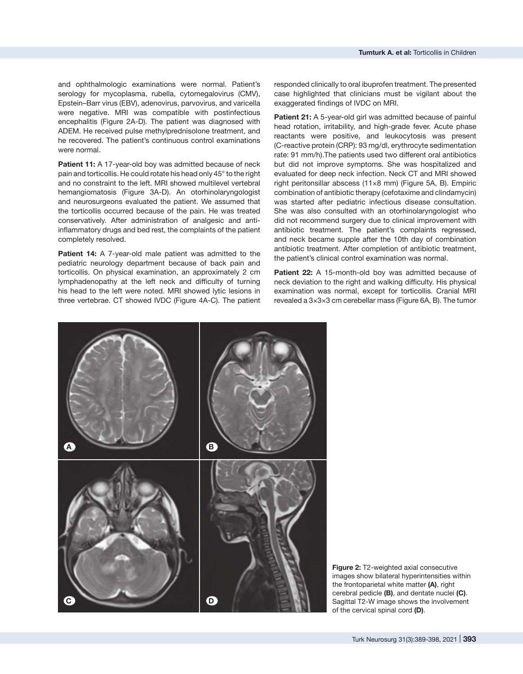and ophthalmologic examinations were normal. Patient's serology for mycoplasma, rubella, cytomegalovirus (CMV), Epstein–Barr virus (EBV), adenovirus, parvovirus, and varicella were negative. MRI was compatible with postinfectious encephalitis (Figure 2A-D). The patient was diagnosed with ADEM. He received pulse methylprednisolone treatment, and he recovered. The patient's continuous control examinations were normal.

Patient 11: A 17-year-old boy was admitted because of neck pain and torticollis. He could rotate his head only 45° to the right and no constraint to the left. MRI showed multilevel vertebral hemangiomatosis (Figure 3A-D). An otorhinolaryngologist and neurosurgeons evaluated the patient. We assumed that the torticollis occurred because of the pain. He was treated conservatively. After administration of analgesic and antiinflammatory drugs and bed rest, the complaints of the patient completely resolved.

**Patient 14:** A 7-year-old male patient was admitted to the pediatric neurology department because of back pain and torticollis. On physical examination, an approximately 2 cm lymphadenopathy at the left neck and difficulty of turning his head to the left were noted. MRI showed lytic lesions in three vertebrae. CT showed IVDC (Figure 4A-C). The patient

responded clinically to oral ibuprofen treatment. The presented case highlighted that clinicians must be vigilant about the exaggerated findings of IVDC on MRI.

Patient 21: A 5-year-old girl was admitted because of painful head rotation, irritability, and high-grade fever. Acute phase reactants were positive, and leukocytosis was present (C-reactive protein (CRP): 93 mg/dl, erythrocyte sedimentation rate: 91 mm/h).The patients used two different oral antibiotics but did not improve symptoms. She was hospitalized and evaluated for deep neck infection. Neck CT and MRI showed right peritonsillar abscess (11×8 mm) (Figure 5A, B). Empiric combination of antibiotic therapy (cefotaxime and clindamycin) was started after pediatric infectious disease consultation. She was also consulted with an otorhinolaryngologist who did not recommend surgery due to clinical improvement with antibiotic treatment. The patient's complaints regressed, and neck became supple after the 10th day of combination antibiotic treatment. After completion of antibiotic treatment, the patient's clinical control examination was normal.

**Patient 22:** A 15-month-old boy was admitted because of neck deviation to the right and walking difficulty. His physical examination was normal, except for torticollis. Cranial MRI revealed a 3×3×3 cm cerebellar mass (Figure 6A, B). The tumor



**Figure 2: T2-weighted axial consecutive** images show bilateral hyperintensities within the frontoparietal white matter **(A)**, right cerebral pedicle **(B)**, and dentate nuclei **(C)**. Sagittal T2-W image shows the involvement of the cervical spinal cord **(D)**.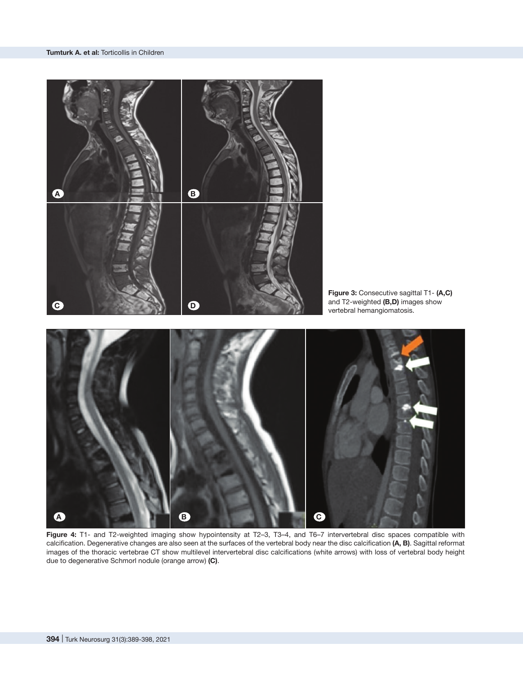

**Figure 4:** T1- and T2-weighted imaging show hypointensity at T2–3, T3–4, and T6–7 intervertebral disc spaces compatible with calcification. Degenerative changes are also seen at the surfaces of the vertebral body near the disc calcification **(A, B)**. Sagittal reformat images of the thoracic vertebrae CT show multilevel intervertebral disc calcifications (white arrows) with loss of vertebral body height due to degenerative Schmorl nodule (orange arrow) **(C)**.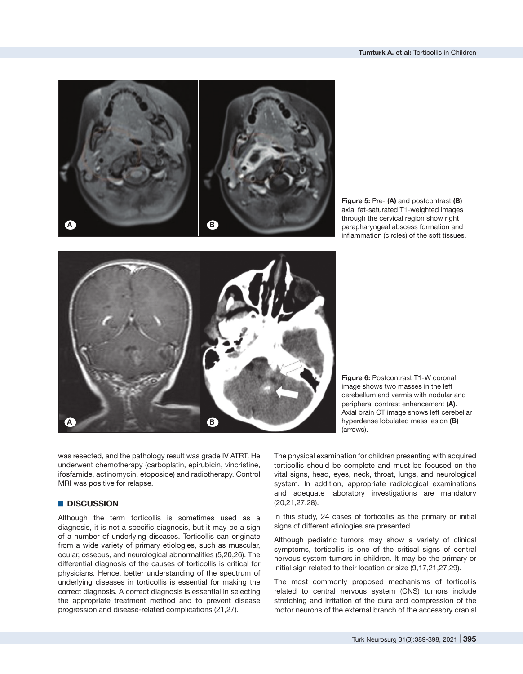



**Figure 5:** Pre- **(A)** and postcontrast **(B)** axial fat-saturated T1-weighted images through the cervical region show right parapharyngeal abscess formation and inflammation (circles) of the soft tissues.



**Figure 6: Postcontrast T1-W coronal** image shows two masses in the left cerebellum and vermis with nodular and peripheral contrast enhancement **(A)**. Axial brain CT image shows left cerebellar hyperdense lobulated mass lesion **(B)** (arrows).

was resected, and the pathology result was grade IV ATRT. He underwent chemotherapy (carboplatin, epirubicin, vincristine, ifosfamide, actinomycin, etoposide) and radiotherapy. Control MRI was positive for relapse.

## █ **DISCUSSION**

Although the term torticollis is sometimes used as a diagnosis, it is not a specific diagnosis, but it may be a sign of a number of underlying diseases. Torticollis can originate from a wide variety of primary etiologies, such as muscular, ocular, osseous, and neurological abnormalities (5,20,26). The differential diagnosis of the causes of torticollis is critical for physicians. Hence, better understanding of the spectrum of underlying diseases in torticollis is essential for making the correct diagnosis. A correct diagnosis is essential in selecting the appropriate treatment method and to prevent disease progression and disease-related complications (21,27).

The physical examination for children presenting with acquired torticollis should be complete and must be focused on the vital signs, head, eyes, neck, throat, lungs, and neurological system. In addition, appropriate radiological examinations and adequate laboratory investigations are mandatory (20,21,27,28).

In this study, 24 cases of torticollis as the primary or initial signs of different etiologies are presented.

Although pediatric tumors may show a variety of clinical symptoms, torticollis is one of the critical signs of central nervous system tumors in children. It may be the primary or initial sign related to their location or size (9,17,21,27,29).

The most commonly proposed mechanisms of torticollis related to central nervous system (CNS) tumors include stretching and irritation of the dura and compression of the motor neurons of the external branch of the accessory cranial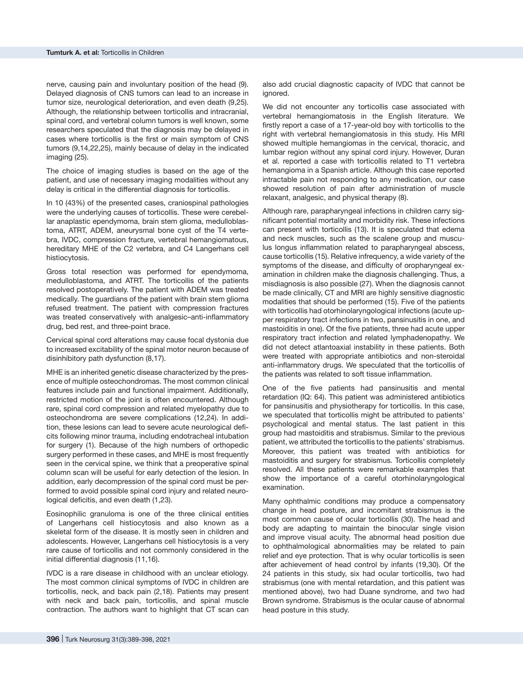nerve, causing pain and involuntary position of the head (9). Delayed diagnosis of CNS tumors can lead to an increase in tumor size, neurological deterioration, and even death (9,25). Although, the relationship between torticollis and intracranial, spinal cord, and vertebral column tumors is well known, some researchers speculated that the diagnosis may be delayed in cases where torticollis is the first or main symptom of CNS tumors (9,14,22,25), mainly because of delay in the indicated imaging (25).

The choice of imaging studies is based on the age of the patient, and use of necessary imaging modalities without any delay is critical in the differential diagnosis for torticollis.

In 10 (43%) of the presented cases, craniospinal pathologies were the underlying causes of torticollis. These were cerebellar anaplastic ependymoma, brain stem glioma, medulloblastoma, ATRT, ADEM, aneurysmal bone cyst of the T4 vertebra, IVDC, compression fracture, vertebral hemangiomatous, hereditary MHE of the C2 vertebra, and C4 Langerhans cell histiocytosis.

Gross total resection was performed for ependymoma, medulloblastoma, and ATRT. The torticollis of the patients resolved postoperatively. The patient with ADEM was treated medically. The guardians of the patient with brain stem glioma refused treatment. The patient with compression fractures was treated conservatively with analgesic–anti-inflammatory drug, bed rest, and three-point brace.

Cervical spinal cord alterations may cause focal dystonia due to increased excitability of the spinal motor neuron because of disinhibitory path dysfunction (8,17).

MHE is an inherited genetic disease characterized by the presence of multiple osteochondromas. The most common clinical features include pain and functional impairment. Additionally, restricted motion of the joint is often encountered. Although rare, spinal cord compression and related myelopathy due to osteochondroma are severe complications (12,24). In addition, these lesions can lead to severe acute neurological deficits following minor trauma, including endotracheal intubation for surgery (1). Because of the high numbers of orthopedic surgery performed in these cases, and MHE is most frequently seen in the cervical spine, we think that a preoperative spinal column scan will be useful for early detection of the lesion. In addition, early decompression of the spinal cord must be performed to avoid possible spinal cord injury and related neurological deficitis, and even death (1,23).

Eosinophilic granuloma is one of the three clinical entities of Langerhans cell histiocytosis and also known as a skeletal form of the disease. It is mostly seen in children and adolescents. However, Langerhans cell histiocytosis is a very rare cause of torticollis and not commonly considered in the initial differential diagnosis (11,16).

IVDC is a rare disease in childhood with an unclear etiology. The most common clinical symptoms of IVDC in children are torticollis, neck, and back pain (2,18). Patients may present with neck and back pain, torticollis, and spinal muscle contraction. The authors want to highlight that CT scan can

also add crucial diagnostic capacity of IVDC that cannot be ignored.

We did not encounter any torticollis case associated with vertebral hemangiomatosis in the English literature. We firstly report a case of a 17-year-old boy with torticollis to the right with vertebral hemangiomatosis in this study. His MRI showed multiple hemangiomas in the cervical, thoracic, and lumbar region without any spinal cord injury. However, Duran et al. reported a case with torticollis related to T1 vertebra hemangioma in a Spanish article. Although this case reported intractable pain not responding to any medication, our case showed resolution of pain after administration of muscle relaxant, analgesic, and physical therapy (8).

Although rare, parapharyngeal infections in children carry significant potential mortality and morbidity risk. These infections can present with torticollis (13). It is speculated that edema and neck muscles, such as the scalene group and musculus longus inflammation related to parapharyngeal abscess, cause torticollis (15). Relative infrequency, a wide variety of the symptoms of the disease, and difficulty of oropharyngeal examination in children make the diagnosis challenging. Thus, a misdiagnosis is also possible (27). When the diagnosis cannot be made clinically, CT and MRI are highly sensitive diagnostic modalities that should be performed (15). Five of the patients with torticollis had otorhinolaryngological infections (acute upper respiratory tract infections in two, pansinusitis in one, and mastoiditis in one). Of the five patients, three had acute upper respiratory tract infection and related lymphadenopathy. We did not detect atlantoaxial instability in these patients. Both were treated with appropriate antibiotics and non-steroidal anti-inflammatory drugs. We speculated that the torticollis of the patients was related to soft tissue inflammation.

One of the five patients had pansinusitis and mental retardation (IQ: 64). This patient was administered antibiotics for pansinusitis and physiotherapy for torticollis. In this case, we speculated that torticollis might be attributed to patients' psychological and mental status. The last patient in this group had mastoiditis and strabismus. Similar to the previous patient, we attributed the torticollis to the patients' strabismus. Moreover, this patient was treated with antibiotics for mastoiditis and surgery for strabismus. Torticollis completely resolved. All these patients were remarkable examples that show the importance of a careful otorhinolaryngological examination.

Many ophthalmic conditions may produce a compensatory change in head posture, and incomitant strabismus is the most common cause of ocular torticollis (30). The head and body are adapting to maintain the binocular single vision and improve visual acuity. The abnormal head position due to ophthalmological abnormalities may be related to pain relief and eye protection. That is why ocular torticollis is seen after achievement of head control by infants (19,30). Of the 24 patients in this study, six had ocular torticollis, two had strabismus (one with mental retardation, and this patient was mentioned above), two had Duane syndrome, and two had Brown syndrome. Strabismus is the ocular cause of abnormal head posture in this study.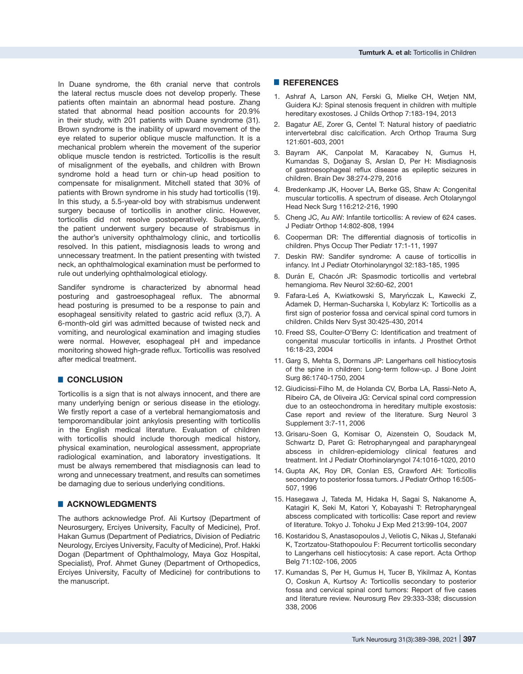In Duane syndrome, the 6th cranial nerve that controls the lateral rectus muscle does not develop properly. These patients often maintain an abnormal head posture. Zhang stated that abnormal head position accounts for 20.9% in their study, with 201 patients with Duane syndrome (31). Brown syndrome is the inability of upward movement of the eye related to superior oblique muscle malfunction. It is a mechanical problem wherein the movement of the superior oblique muscle tendon is restricted. Torticollis is the result of misalignment of the eyeballs, and children with Brown syndrome hold a head turn or chin-up head position to compensate for misalignment. Mitchell stated that 30% of patients with Brown syndrome in his study had torticollis (19). In this study, a 5.5-year-old boy with strabismus underwent surgery because of torticollis in another clinic. However, torticollis did not resolve postoperatively. Subsequently, the patient underwent surgery because of strabismus in the author's university ophthalmology clinic, and torticollis resolved. In this patient, misdiagnosis leads to wrong and unnecessary treatment. In the patient presenting with twisted neck, an ophthalmological examination must be performed to rule out underlying ophthalmological etiology.

Sandifer syndrome is characterized by abnormal head posturing and gastroesophageal reflux. The abnormal head posturing is presumed to be a response to pain and esophageal sensitivity related to gastric acid reflux (3,7). A 6-month-old girl was admitted because of twisted neck and vomiting, and neurological examination and imaging studies were normal. However, esophageal pH and impedance monitoring showed high-grade reflux. Torticollis was resolved after medical treatment.

## █ **CONCLUSION**

Torticollis is a sign that is not always innocent, and there are many underlying benign or serious disease in the etiology. We firstly report a case of a vertebral hemangiomatosis and temporomandibular joint ankylosis presenting with torticollis in the English medical literature. Evaluation of children with torticollis should include thorough medical history, physical examination, neurological assessment, appropriate radiological examination, and laboratory investigations. It must be always remembered that misdiagnosis can lead to wrong and unnecessary treatment, and results can sometimes be damaging due to serious underlying conditions.

### █ **ACKNOWLEDGMENTS**

The authors acknowledge Prof. Ali Kurtsoy (Department of Neurosurgery, Erciyes University, Faculty of Medicine), Prof. Hakan Gumus (Department of Pediatrics, Division of Pediatric Neurology, Erciyes University, Faculty of Medicine), Prof. Hakki Dogan (Department of Ophthalmology, Maya Goz Hospital, Specialist), Prof. Ahmet Guney (Department of Orthopedics, Erciyes University, Faculty of Medicine) for contributions to the manuscript.

#### █ **REFERENCES**

- 1. Ashraf A, Larson AN, Ferski G, Mielke CH, Wetjen NM, Guidera KJ: Spinal stenosis frequent in children with multiple hereditary exostoses. J Childs Orthop 7:183-194, 2013
- 2. Bagatur AE, Zorer G, Centel T: Natural history of paediatric intervertebral disc calcification. Arch Orthop Trauma Surg 121:601-603, 2001
- 3. Bayram AK, Canpolat M, Karacabey N, Gumus H, Kumandas S, Doğanay S, Arslan D, Per H: Misdiagnosis of gastroesophageal reflux disease as epileptic seizures in children. Brain Dev 38:274-279, 2016
- 4. Bredenkamp JK, Hoover LA, Berke GS, Shaw A: Congenital muscular torticollis. A spectrum of disease. Arch Otolaryngol Head Neck Surg 116:212-216, 1990
- 5. Cheng JC, Au AW: Infantile torticollis: A review of 624 cases. J Pediatr Orthop 14:802-808, 1994
- 6. Cooperman DR: The differential diagnosis of torticollis in children. Phys Occup Ther Pediatr 17:1-11, 1997
- 7. Deskin RW: Sandifer syndrome: A cause of torticollis in infancy. Int J Pediatr Otorhinolaryngol 32:183-185, 1995
- 8. Durán E, Chacón JR: Spasmodic torticollis and vertebral hemangioma. Rev Neurol 32:60-62, 2001
- 9. Fafara-Leś A, Kwiatkowski S, Maryńczak L, Kawecki Z, Adamek D, Herman-Sucharska I, Kobylarz K: Torticollis as a first sign of posterior fossa and cervical spinal cord tumors in children. Childs Nerv Syst 30:425-430, 2014
- 10. Freed SS, Coulter-O'Berry C: Identification and treatment of congenital muscular torticollis in infants. J Prosthet Orthot 16:18-23, 2004
- 11. Garg S, Mehta S, Dormans JP: Langerhans cell histiocytosis of the spine in children: Long-term follow-up. J Bone Joint Surg 86:1740-1750, 2004
- 12. Giudicissi-Filho M, de Holanda CV, Borba LA, Rassi-Neto A, Ribeiro CA, de Oliveira JG: Cervical spinal cord compression due to an osteochondroma in hereditary multiple exostosis: Case report and review of the literature. Surg Neurol 3 Supplement 3:7-11, 2006
- 13. Grisaru-Soen G, Komisar O, Aizenstein O, Soudack M, Schwartz D, Paret G: Retropharyngeal and parapharyngeal abscess in children-epidemiology clinical features and treatment. Int J Pediatr Otorhinolaryngol 74:1016-1020, 2010
- 14. Gupta AK, Roy DR, Conlan ES, Crawford AH: Torticollis secondary to posterior fossa tumors. J Pediatr Orthop 16:505- 507, 1996
- 15. Hasegawa J, Tateda M, Hidaka H, Sagai S, Nakanome A, Katagiri K, Seki M, Katori Y, Kobayashi T: Retropharyngeal abscess complicated with torticollis: Case report and review of literature. Tokyo J. Tohoku J Exp Med 213:99-104, 2007
- 16. Kostaridou S, Anastasopoulos J, Veliotis C, Nikas J, Stefanaki K, Tzortzatou-Stathopoulou F: Recurrent torticollis secondary to Langerhans cell histiocytosis: A case report. Acta Orthop Belg 71:102-106, 2005
- 17. Kumandas S, Per H, Gumus H, Tucer B, Yikilmaz A, Kontas O, Coskun A, Kurtsoy A: Torticollis secondary to posterior fossa and cervical spinal cord tumors: Report of five cases and literature review. Neurosurg Rev 29:333-338; discussion 338, 2006